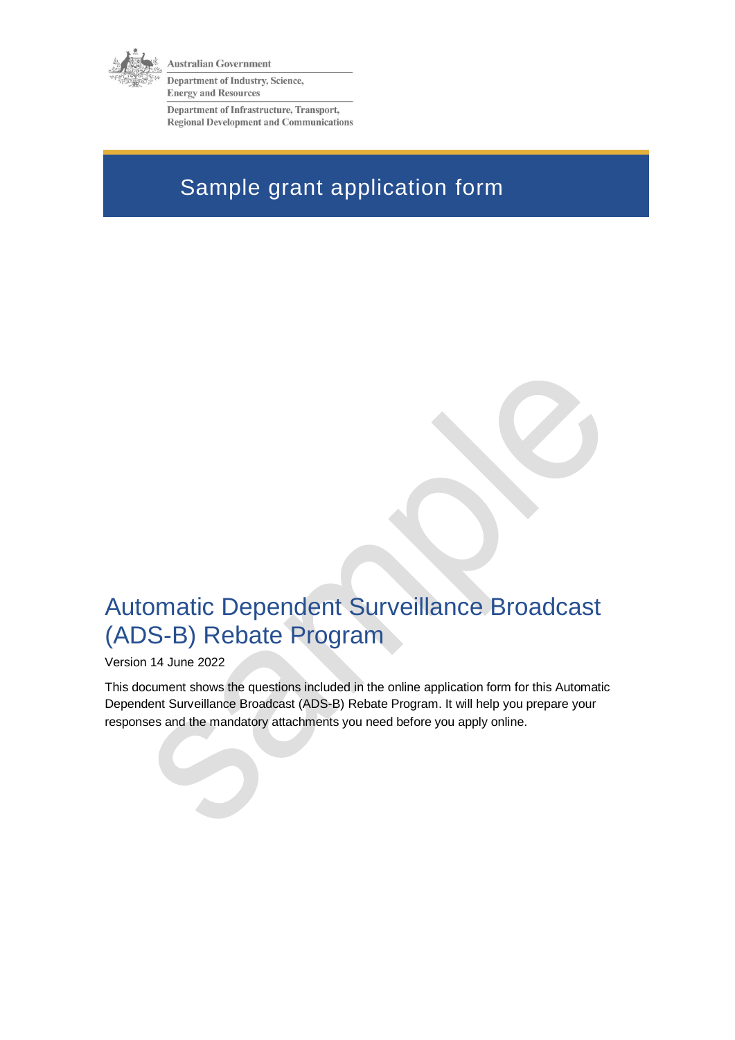

**Australian Government** 

Department of Industry, Science, **Energy and Resources** 

Department of Infrastructure, Transport, **Regional Development and Communications** 

# Sample grant application form

# Automatic Dependent Surveillance Broadcast (ADS-B) Rebate Program

Version 14 June 2022

This document shows the questions included in the online application form for this Automatic Dependent Surveillance Broadcast (ADS-B) Rebate Program. It will help you prepare your responses and the mandatory attachments you need before you apply online.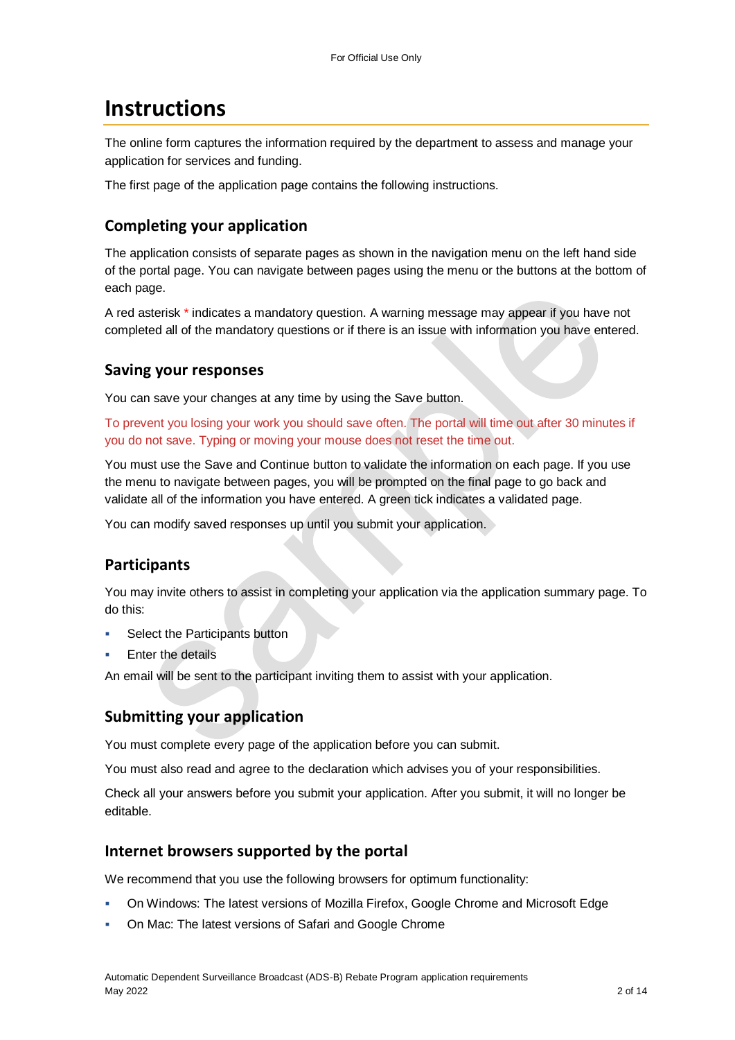### **Instructions**

The online form captures the information required by the department to assess and manage your application for services and funding.

The first page of the application page contains the following instructions.

#### **Completing your application**

The application consists of separate pages as shown in the navigation menu on the left hand side of the portal page. You can navigate between pages using the menu or the buttons at the bottom of each page.

A red asterisk \* indicates a mandatory question. A warning message may appear if you have not completed all of the mandatory questions or if there is an issue with information you have entered.

#### **Saving your responses**

You can save your changes at any time by using the Save button.

To prevent you losing your work you should save often. The portal will time out after 30 minutes if you do not save. Typing or moving your mouse does not reset the time out.

You must use the Save and Continue button to validate the information on each page. If you use the menu to navigate between pages, you will be prompted on the final page to go back and validate all of the information you have entered. A green tick indicates a validated page.

You can modify saved responses up until you submit your application.

#### **Participants**

You may invite others to assist in completing your application via the application summary page. To do this:

- Select the Participants button
- Enter the details

An email will be sent to the participant inviting them to assist with your application.

#### **Submitting your application**

You must complete every page of the application before you can submit.

You must also read and agree to the declaration which advises you of your responsibilities.

Check all your answers before you submit your application. After you submit, it will no longer be editable.

#### **Internet browsers supported by the portal**

We recommend that you use the following browsers for optimum functionality:

- On Windows: The latest versions of Mozilla Firefox, Google Chrome and Microsoft Edge
- On Mac: The latest versions of Safari and Google Chrome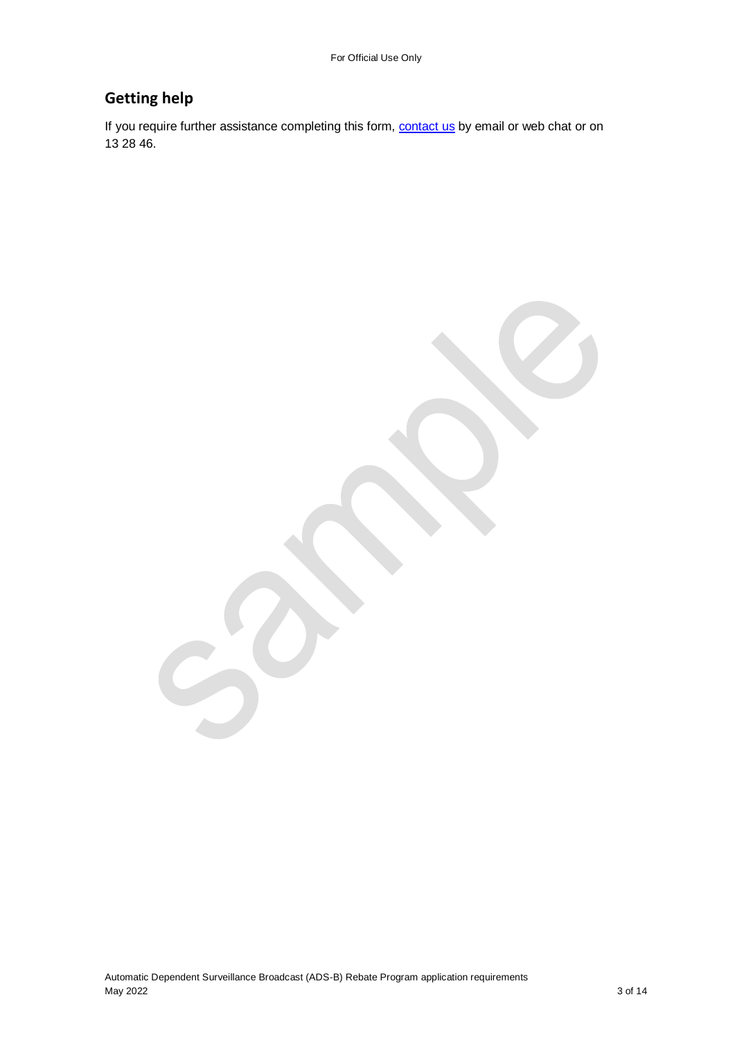### **Getting help**

If you require further assistance completing this form, **contact us** by email or web chat or on 13 28 46.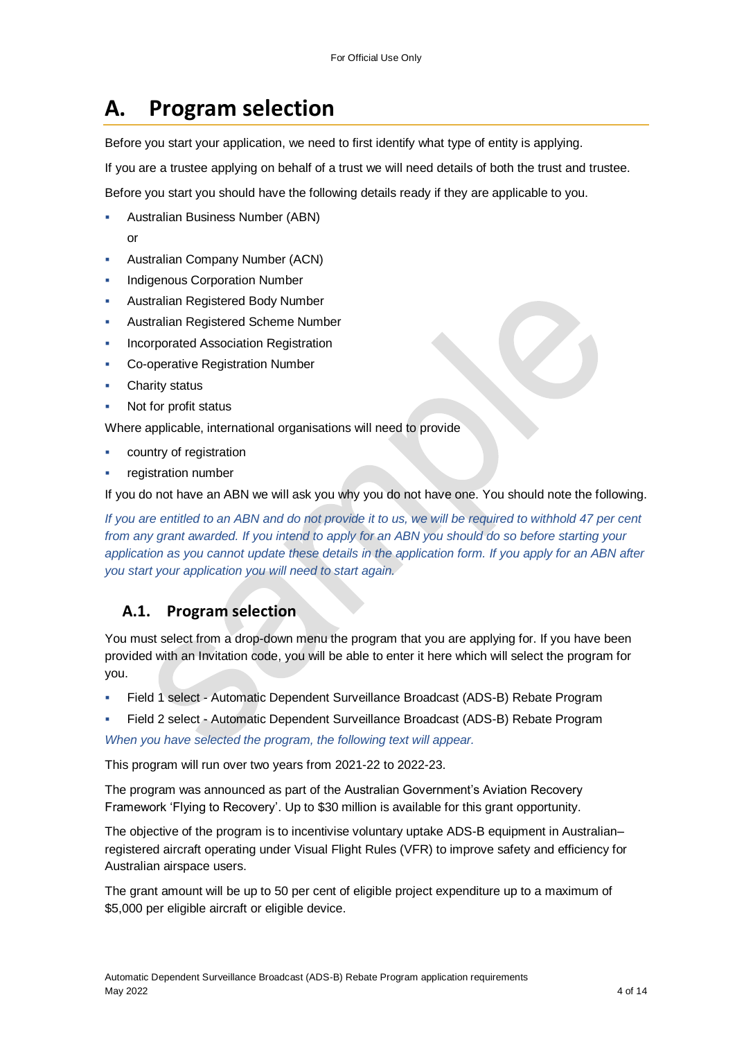## **A. Program selection**

Before you start your application, we need to first identify what type of entity is applying.

If you are a trustee applying on behalf of a trust we will need details of both the trust and trustee.

Before you start you should have the following details ready if they are applicable to you.

- Australian Business Number (ABN) or
- Australian Company Number (ACN)
- Indigenous Corporation Number
- Australian Registered Body Number
- Australian Registered Scheme Number
- Incorporated Association Registration
- Co-operative Registration Number
- Charity status
- Not for profit status

Where applicable, international organisations will need to provide

- country of registration
- registration number

If you do not have an ABN we will ask you why you do not have one. You should note the following.

*If you are entitled to an ABN and do not provide it to us, we will be required to withhold 47 per cent from any grant awarded. If you intend to apply for an ABN you should do so before starting your application as you cannot update these details in the application form. If you apply for an ABN after you start your application you will need to start again.*

#### **A.1. Program selection**

You must select from a drop-down menu the program that you are applying for. If you have been provided with an Invitation code, you will be able to enter it here which will select the program for you.

- Field 1 select Automatic Dependent Surveillance Broadcast (ADS-B) Rebate Program
- Field 2 select Automatic Dependent Surveillance Broadcast (ADS-B) Rebate Program

*When you have selected the program, the following text will appear.*

This program will run over two years from 2021-22 to 2022-23.

The program was announced as part of the Australian Government's Aviation Recovery Framework 'Flying to Recovery'. Up to \$30 million is available for this grant opportunity.

The objective of the program is to incentivise voluntary uptake ADS-B equipment in Australian– registered aircraft operating under Visual Flight Rules (VFR) to improve safety and efficiency for Australian airspace users.

The grant amount will be up to 50 per cent of eligible project expenditure up to a maximum of \$5,000 per eligible aircraft or eligible device.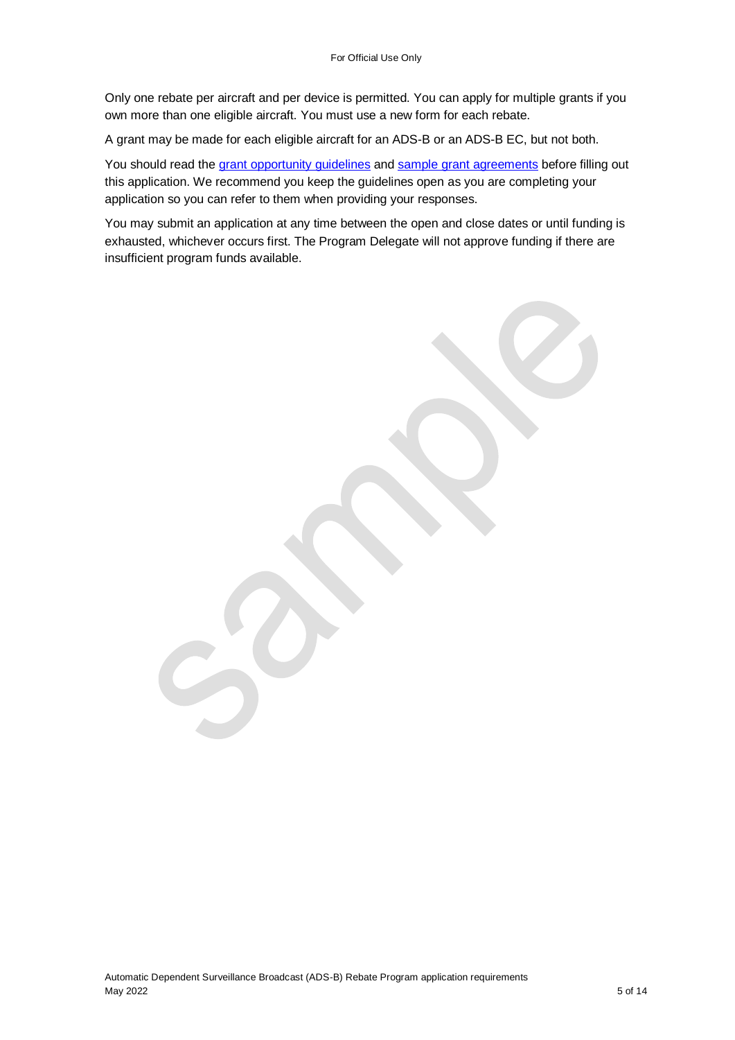Only one rebate per aircraft and per device is permitted. You can apply for multiple grants if you own more than one eligible aircraft. You must use a new form for each rebate.

A grant may be made for each eligible aircraft for an ADS-B or an ADS-B EC, but not both.

You should read the [grant opportunity guidelines](https://business.gov.au/grants-and-programs/automatic-dependent-surveillance-broadcast-rebate-program#key-documents) and [sample grant agreements](https://business.gov.au/grants-and-programs/automatic-dependent-surveillance-broadcast-rebate-program#key-documents) before filling out this application. We recommend you keep the guidelines open as you are completing your application so you can refer to them when providing your responses.

You may submit an application at any time between the open and close dates or until funding is exhausted, whichever occurs first. The Program Delegate will not approve funding if there are insufficient program funds available.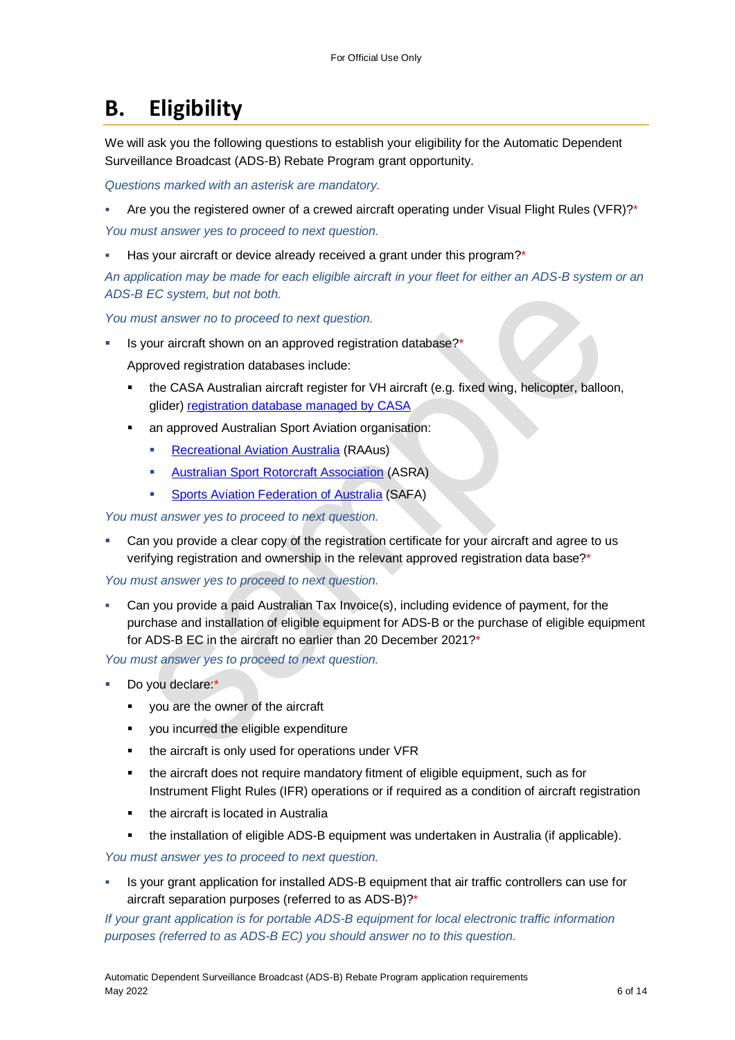## **B. Eligibility**

We will ask you the following questions to establish your eligibility for the Automatic Dependent Surveillance Broadcast (ADS-B) Rebate Program grant opportunity.

*Questions marked with an asterisk are mandatory.* 

- Are you the registered owner of a crewed aircraft operating under Visual Flight Rules (VFR)?\* *You must answer yes to proceed to next question.*
- Has your aircraft or device already received a grant under this program?\*

*An application may be made for each eligible aircraft in your fleet for either an ADS-B system or an ADS-B EC system, but not both.*

*You must answer no to proceed to next question.*

Is your aircraft shown on an approved registration database?\*

Approved registration databases include:

- the CASA Australian aircraft register for VH aircraft (e.g. fixed wing, helicopter, balloon, glider[\) registration database managed by CASA](https://www.casa.gov.au/search-centre/aircraft-register)
- an approved Australian Sport Aviation organisation:
	- **[Recreational Aviation Australia](https://www.raa.asn.au/) (RAAus)**
	- **[Australian Sport Rotorcraft Association](https://www.asra.org.au/) (ASRA)**
	- **[Sports Aviation Federation of Australia](https://www.safa.asn.au/) (SAFA)**

#### *You must answer yes to proceed to next question.*

 Can you provide a clear copy of the registration certificate for your aircraft and agree to us verifying registration and ownership in the relevant approved registration data base?\*

*You must answer yes to proceed to next question.*

 Can you provide a paid Australian Tax Invoice(s), including evidence of payment, for the purchase and installation of eligible equipment for ADS-B or the purchase of eligible equipment for ADS-B EC in the aircraft no earlier than 20 December 2021?\*

*You must answer yes to proceed to next question.*

- Do you declare:\*
	- vou are the owner of the aircraft
	- **•** you incurred the eligible expenditure
	- the aircraft is only used for operations under VFR
	- the aircraft does not require mandatory fitment of eligible equipment, such as for Instrument Flight Rules (IFR) operations or if required as a condition of aircraft registration
	- the aircraft is located in Australia
	- the installation of eligible ADS-B equipment was undertaken in Australia (if applicable).

*You must answer yes to proceed to next question.*

 Is your grant application for installed ADS-B equipment that air traffic controllers can use for aircraft separation purposes (referred to as ADS-B)?\*

*If your grant application is for portable ADS-B equipment for local electronic traffic information purposes (referred to as ADS-B EC) you should answer no to this question.*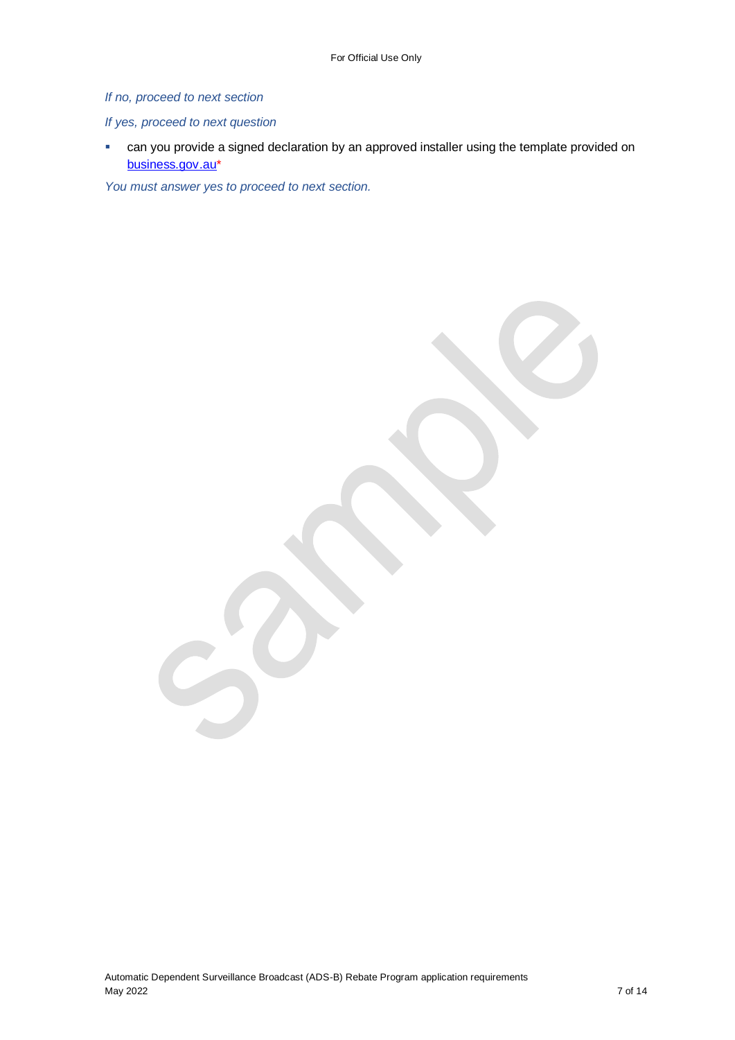#### *If no, proceed to next section*

#### *If yes, proceed to next question*

 can you provide a signed declaration by an approved installer using the template provided on [business.gov.au\\*](https://business.gov.au/)

*You must answer yes to proceed to next section.*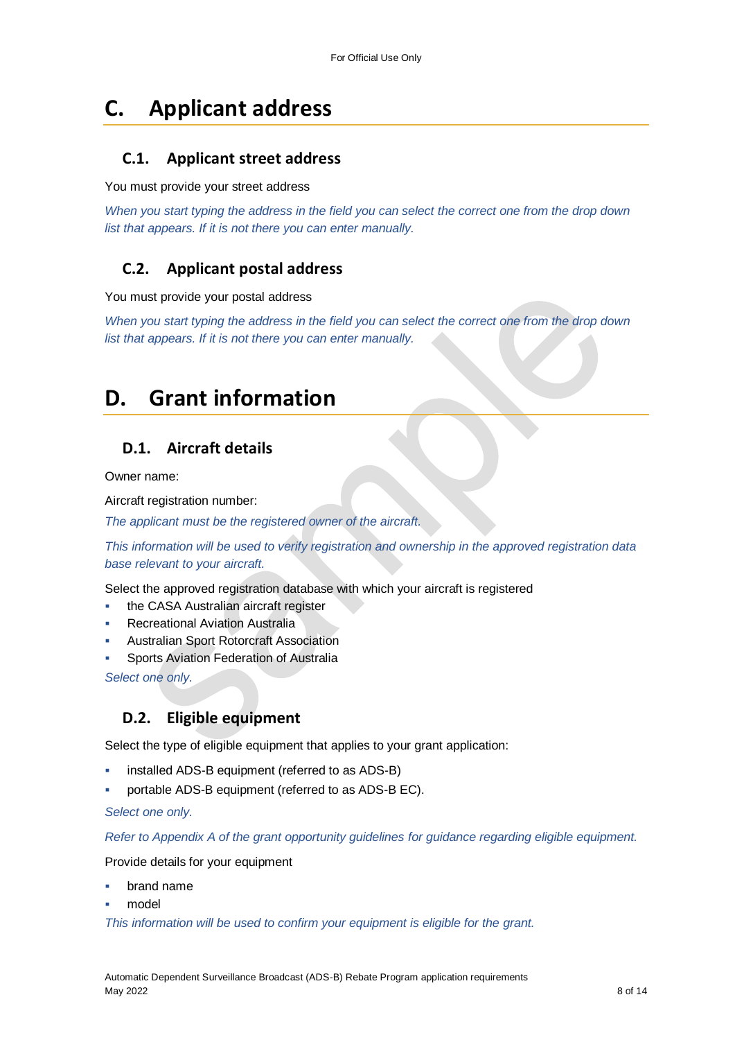### **C. Applicant address**

#### **C.1. Applicant street address**

You must provide your street address

*When you start typing the address in the field you can select the correct one from the drop down list that appears. If it is not there you can enter manually.*

### **C.2. Applicant postal address**

You must provide your postal address

*When you start typing the address in the field you can select the correct one from the drop down list that appears. If it is not there you can enter manually.*

### **D. Grant information**

### **D.1. Aircraft details**

Owner name:

Aircraft registration number:

*The applicant must be the registered owner of the aircraft.* 

*This information will be used to verify registration and ownership in the approved registration data base relevant to your aircraft.*

Select the approved registration database with which your aircraft is registered

- the CASA Australian aircraft register
- Recreational Aviation Australia
- Australian Sport Rotorcraft Association
- Sports Aviation Federation of Australia

*Select one only.*

#### **D.2. Eligible equipment**

Select the type of eligible equipment that applies to your grant application:

- installed ADS-B equipment (referred to as ADS-B)
- portable ADS-B equipment (referred to as ADS-B EC).

*Select one only.*

*Refer to Appendix A of the grant opportunity guidelines for guidance regarding eligible equipment.* 

Provide details for your equipment

- brand name
- model

*This information will be used to confirm your equipment is eligible for the grant.*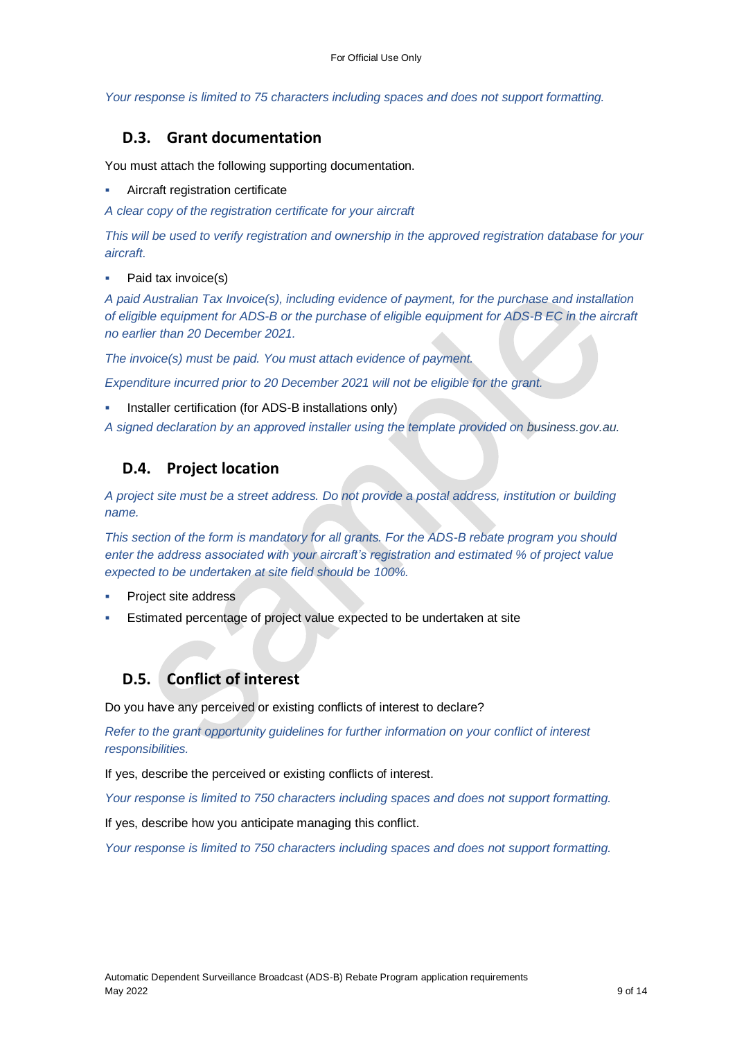*Your response is limited to 75 characters including spaces and does not support formatting.*

#### **D.3. Grant documentation**

You must attach the following supporting documentation.

- Aircraft registration certificate
- *A clear copy of the registration certificate for your aircraft*

*This will be used to verify registration and ownership in the approved registration database for your aircraft.* 

Paid tax invoice(s)

*A paid Australian Tax Invoice(s), including evidence of payment, for the purchase and installation of eligible equipment for ADS-B or the purchase of eligible equipment for ADS-B EC in the aircraft no earlier than 20 December 2021.*

*The invoice(s) must be paid. You must attach evidence of payment.* 

*Expenditure incurred prior to 20 December 2021 will not be eligible for the grant.*

Installer certification (for ADS-B installations only)

*A signed declaration by an approved installer using the template provided on business.gov.au.*

#### **D.4. Project location**

*A project site must be a street address. Do not provide a postal address, institution or building name.* 

*This section of the form is mandatory for all grants. For the ADS-B rebate program you should enter the address associated with your aircraft's registration and estimated % of project value expected to be undertaken at site field should be 100%.* 

- Project site address
- Estimated percentage of project value expected to be undertaken at site

#### **D.5. Conflict of interest**

Do you have any perceived or existing conflicts of interest to declare?

*Refer to the grant opportunity guidelines for further information on your conflict of interest responsibilities.*

If yes, describe the perceived or existing conflicts of interest.

*Your response is limited to 750 characters including spaces and does not support formatting.*

If yes, describe how you anticipate managing this conflict.

*Your response is limited to 750 characters including spaces and does not support formatting.*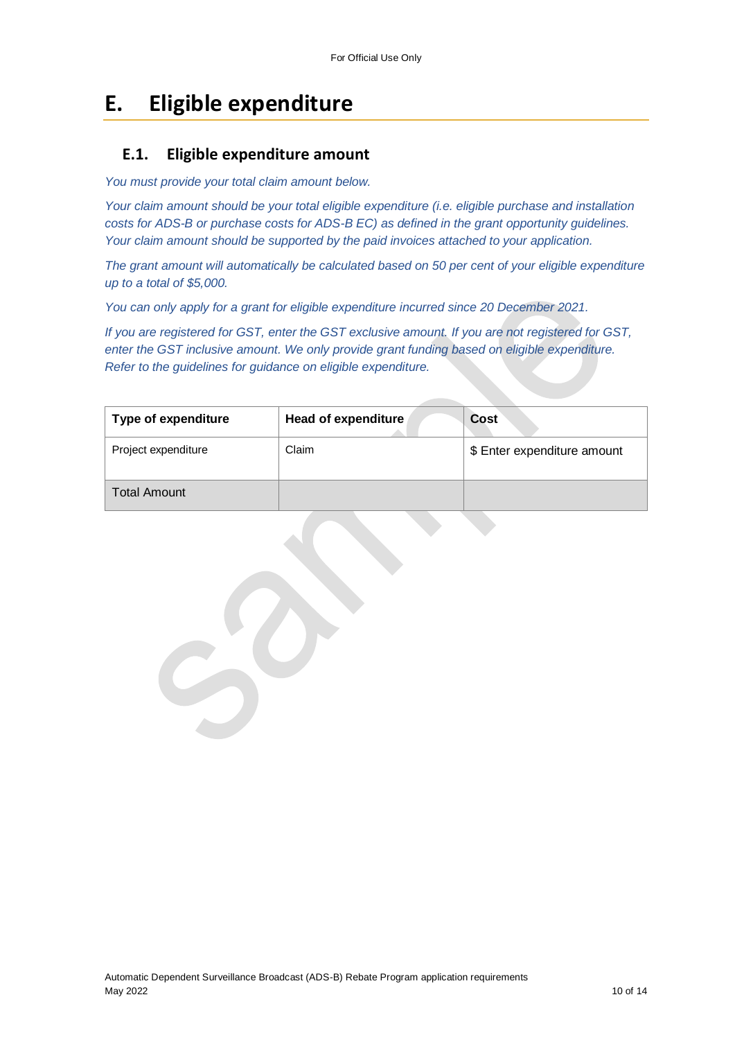## **E. Eligible expenditure**

#### **E.1. Eligible expenditure amount**

*You must provide your total claim amount below.* 

*Your claim amount should be your total eligible expenditure (i.e. eligible purchase and installation costs for ADS-B or purchase costs for ADS-B EC) as defined in the grant opportunity guidelines. Your claim amount should be supported by the paid invoices attached to your application.*

*The grant amount will automatically be calculated based on 50 per cent of your eligible expenditure up to a total of \$5,000.*

*You can only apply for a grant for eligible expenditure incurred since 20 December 2021.*

*If you are registered for GST, enter the GST exclusive amount. If you are not registered for GST, enter the GST inclusive amount. We only provide grant funding based on eligible expenditure. Refer to the guidelines for guidance on eligible expenditure.*

| Type of expenditure | <b>Head of expenditure</b> | Cost                        |
|---------------------|----------------------------|-----------------------------|
| Project expenditure | Claim                      | \$ Enter expenditure amount |
| <b>Total Amount</b> |                            |                             |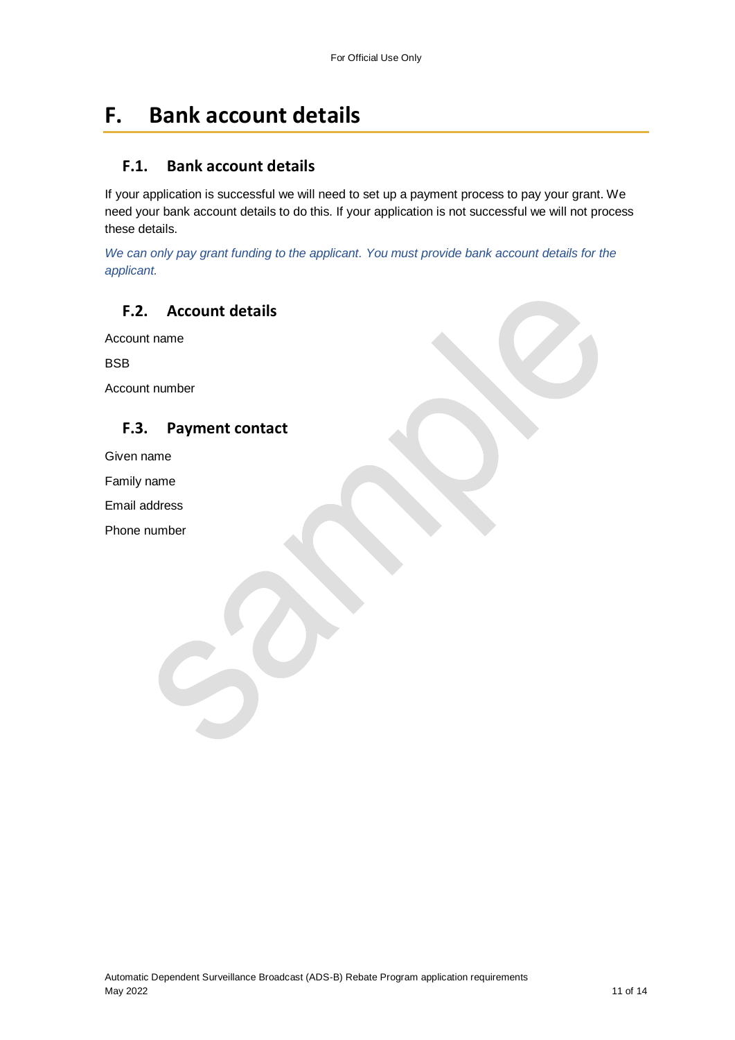### **F. Bank account details**

#### **F.1. Bank account details**

If your application is successful we will need to set up a payment process to pay your grant. We need your bank account details to do this. If your application is not successful we will not process these details.

*We can only pay grant funding to the applicant. You must provide bank account details for the applicant.*

### **F.2. Account details**

Account name

BSB

Account number

#### **F.3. Payment contact**

Given name

Family name

Email address

Phone number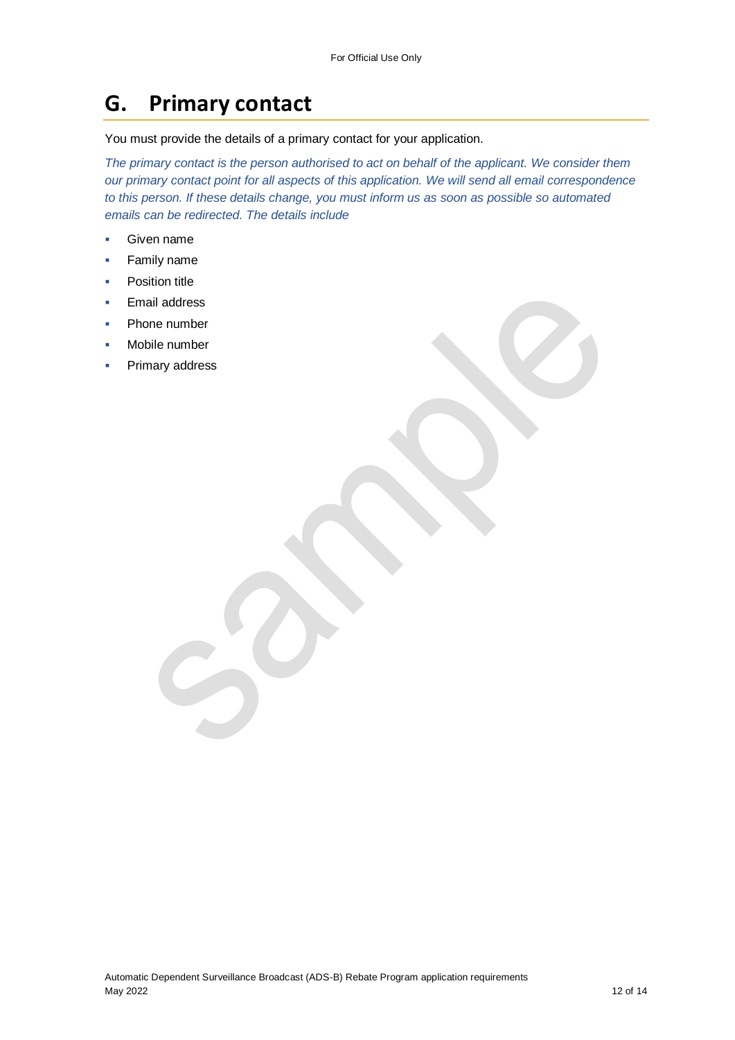## **G. Primary contact**

You must provide the details of a primary contact for your application.

*The primary contact is the person authorised to act on behalf of the applicant. We consider them our primary contact point for all aspects of this application. We will send all email correspondence to this person. If these details change, you must inform us as soon as possible so automated emails can be redirected. The details include*

- Given name
- **Family name**
- Position title
- Email address
- Phone number
- Mobile number
- Primary address

Automatic Dependent Surveillance Broadcast (ADS-B) Rebate Program application requirements May 2022 12 of 14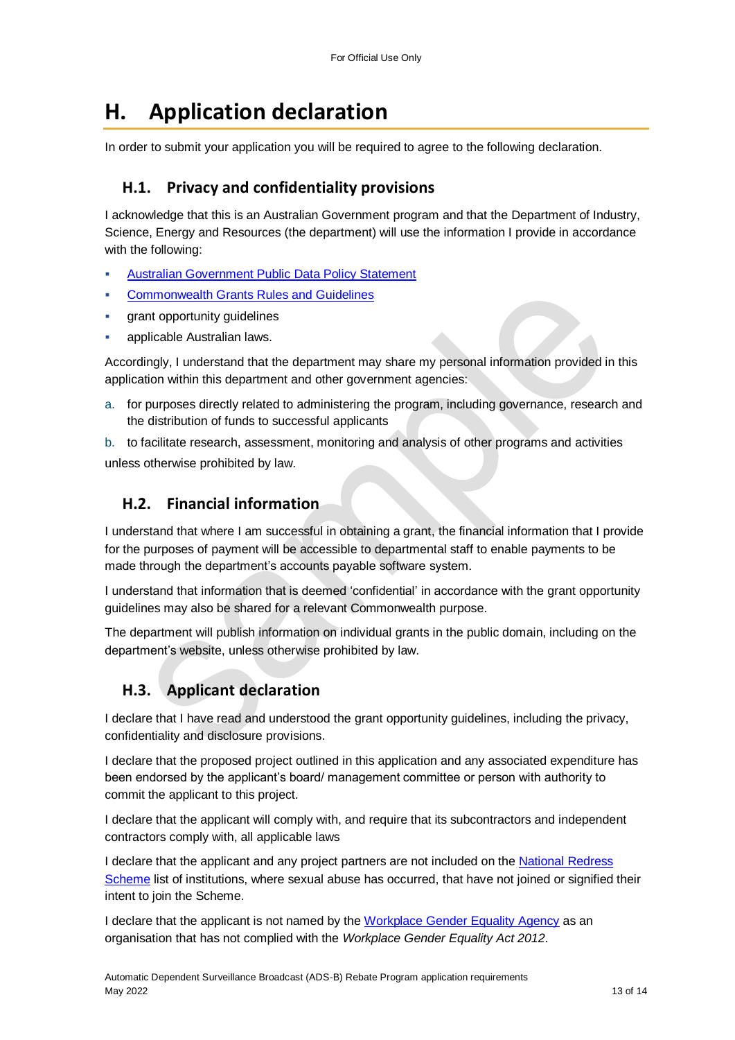## **H. Application declaration**

In order to submit your application you will be required to agree to the following declaration.

#### **H.1. Privacy and confidentiality provisions**

I acknowledge that this is an Australian Government program and that the Department of Industry, Science, Energy and Resources (the department) will use the information I provide in accordance with the following:

- [Australian Government Public Data Policy Statement](https://www.pmc.gov.au/sites/default/files/publications/aust_govt_public_data_policy_statement_1.pdf)
- [Commonwealth Grants Rules and Guidelines](https://www.finance.gov.au/government/commonwealth-grants/commonwealth-grants-rules-guidelines)
- grant opportunity guidelines
- applicable Australian laws.

Accordingly, I understand that the department may share my personal information provided in this application within this department and other government agencies:

a. for purposes directly related to administering the program, including governance, research and the distribution of funds to successful applicants

b. to facilitate research, assessment, monitoring and analysis of other programs and activities unless otherwise prohibited by law.

#### **H.2. Financial information**

I understand that where I am successful in obtaining a grant, the financial information that I provide for the purposes of payment will be accessible to departmental staff to enable payments to be made through the department's accounts payable software system.

I understand that information that is deemed 'confidential' in accordance with the grant opportunity guidelines may also be shared for a relevant Commonwealth purpose.

The department will publish information on individual grants in the public domain, including on the department's website, unless otherwise prohibited by law.

### **H.3. Applicant declaration**

I declare that I have read and understood the grant opportunity guidelines, including the privacy, confidentiality and disclosure provisions.

I declare that the proposed project outlined in this application and any associated expenditure has been endorsed by the applicant's board/ management committee or person with authority to commit the applicant to this project.

I declare that the applicant will comply with, and require that its subcontractors and independent contractors comply with, all applicable laws

I declare that the applicant and any project partners are not included on the [National Redress](https://www.nationalredress.gov.au/institutions/institutions-have-not-yet-joined)  [Scheme](https://www.nationalredress.gov.au/institutions/institutions-have-not-yet-joined) list of institutions, where sexual abuse has occurred, that have not joined or signified their intent to join the Scheme.

I declare that the applicant is not named by the [Workplace Gender Equality Agency](https://www.wgea.gov.au/what-we-do/compliance-reporting/non-compliant-list) as an organisation that has not complied with the *Workplace Gender Equality Act 2012*.